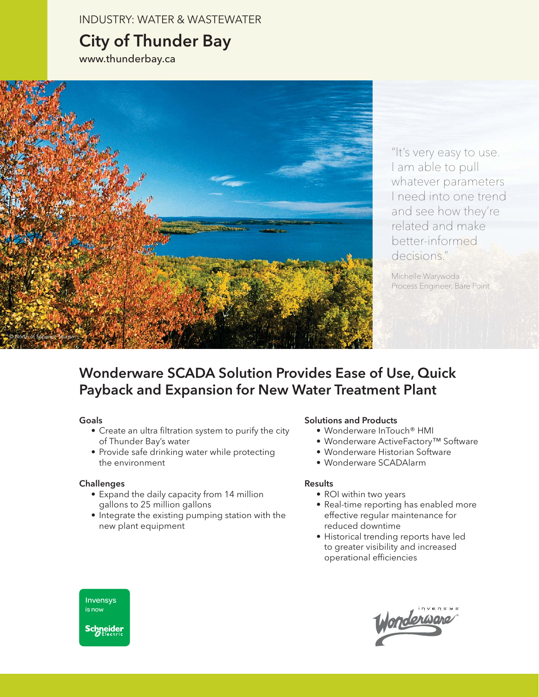INDUSTRY: WATER & WASTEWATER

# City of Thunder Bay

www.thunderbay.ca



"It's very easy to use. I am able to pull whatever parameters I need into one trend and see how they're related and make better-informed decisions."

Michelle Warywoda Process Engineer, Bare Point

## Wonderware SCADA Solution Provides Ease of Use, Quick Payback and Expansion for New Water Treatment Plant

#### Goals

- Create an ultra filtration system to purify the city of Thunder Bay's water
- Provide safe drinking water while protecting the environment

#### **Challenges**

- Expand the daily capacity from 14 million gallons to 25 million gallons
- Integrate the existing pumping station with the new plant equipment

#### Solutions and Products

- Wonderware InTouch® HMI
- Wonderware ActiveFactory™ Software
- Wonderware Historian Software
- Wonderware SCADAlarm

#### **Results**

- ROI within two years
- Real-time reporting has enabled more effective regular maintenance for reduced downtime
- Historical trending reports have led to greater visibility and increased operational efficiencies



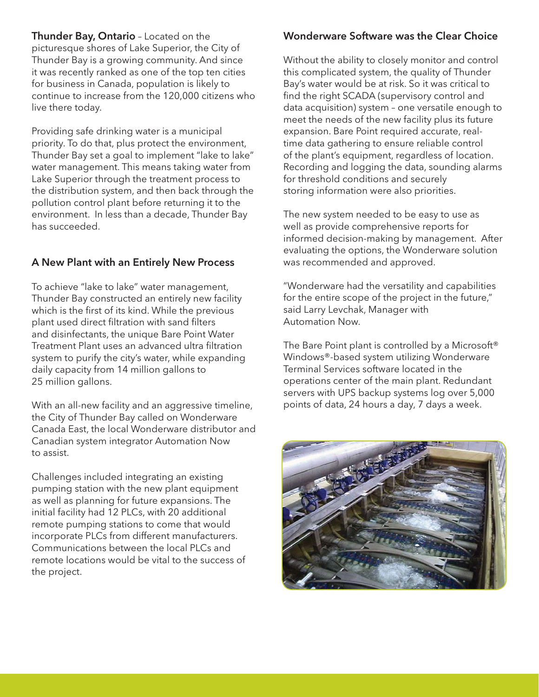Thunder Bay, Ontario - Located on the picturesque shores of Lake Superior, the City of Thunder Bay is a growing community. And since it was recently ranked as one of the top ten cities for business in Canada, population is likely to continue to increase from the 120,000 citizens who live there today.

Providing safe drinking water is a municipal priority. To do that, plus protect the environment, Thunder Bay set a goal to implement "lake to lake" water management. This means taking water from Lake Superior through the treatment process to the distribution system, and then back through the pollution control plant before returning it to the environment. In less than a decade, Thunder Bay has succeeded.

## A New Plant with an Entirely New Process

To achieve "lake to lake" water management, Thunder Bay constructed an entirely new facility which is the first of its kind. While the previous plant used direct filtration with sand filters and disinfectants, the unique Bare Point Water Treatment Plant uses an advanced ultra filtration system to purify the city's water, while expanding daily capacity from 14 million gallons to 25 million gallons.

With an all-new facility and an aggressive timeline, the City of Thunder Bay called on Wonderware Canada East, the local Wonderware distributor and Canadian system integrator Automation Now to assist.

Challenges included integrating an existing pumping station with the new plant equipment as well as planning for future expansions. The initial facility had 12 PLCs, with 20 additional remote pumping stations to come that would incorporate PLCs from different manufacturers. Communications between the local PLCs and remote locations would be vital to the success of the project.

### Wonderware Software was the Clear Choice

Without the ability to closely monitor and control this complicated system, the quality of Thunder Bay's water would be at risk. So it was critical to find the right SCADA (supervisory control and data acquisition) system – one versatile enough to meet the needs of the new facility plus its future expansion. Bare Point required accurate, realtime data gathering to ensure reliable control of the plant's equipment, regardless of location. Recording and logging the data, sounding alarms for threshold conditions and securely storing information were also priorities.

The new system needed to be easy to use as well as provide comprehensive reports for informed decision-making by management. After evaluating the options, the Wonderware solution was recommended and approved.

"Wonderware had the versatility and capabilities for the entire scope of the project in the future," said Larry Levchak, Manager with Automation Now.

The Bare Point plant is controlled by a Microsoft<sup>®</sup> Windows®-based system utilizing Wonderware Terminal Services software located in the operations center of the main plant. Redundant servers with UPS backup systems log over 5,000 points of data, 24 hours a day, 7 days a week.

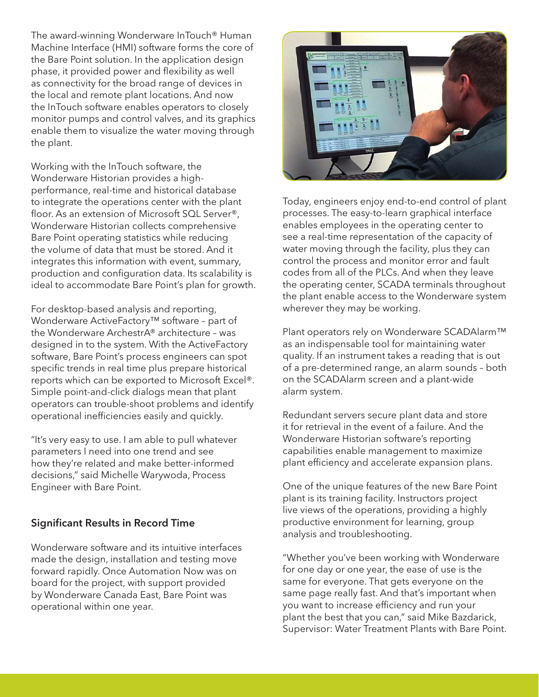The award-winning Wonderware InTouch® Human Machine Interface (HMI) software forms the core of the Bare Point solution. In the application design phase, it provided power and flexibility as well as connectivity for the broad range of devices in the local and remote plant locations. And now the InTouch software enables operators to closely monitor pumps and control valves, and its graphics enable them to visualize the water moving through the plant.

Working with the InTouch software, the Wonderware Historian provides a highperformance, real-time and historical database to integrate the operations center with the plant floor. As an extension of Microsoft SQL Server®, Wonderware Historian collects comprehensive Bare Point operating statistics while reducing the volume of data that must be stored. And it integrates this information with event, summary, production and configuration data. Its scalability is ideal to accommodate Bare Point's plan for growth.

For desktop-based analysis and reporting, Wonderware ActiveFactory™ software – part of the Wonderware ArchestrA® architecture – was designed in to the system. With the ActiveFactory software, Bare Point's process engineers can spot specific trends in real time plus prepare historical reports which can be exported to Microsoft Excel®. Simple point-and-click dialogs mean that plant operators can trouble-shoot problems and identify operational inefficiencies easily and quickly.

"It's very easy to use. I am able to pull whatever parameters I need into one trend and see how they're related and make better-informed decisions," said Michelle Warywoda, Process Engineer with Bare Point.

## Significant Results in Record Time

Wonderware software and its intuitive interfaces made the design, installation and testing move forward rapidly. Once Automation Now was on board for the project, with support provided by Wonderware Canada East, Bare Point was operational within one year.



Today, engineers enjoy end-to-end control of plant processes. The easy-to-learn graphical interface enables employees in the operating center to see a real-time representation of the capacity of water moving through the facility, plus they can control the process and monitor error and fault codes from all of the PLCs. And when they leave the operating center, SCADA terminals throughout the plant enable access to the Wonderware system wherever they may be working.

Plant operators rely on Wonderware SCADAlarm™ as an indispensable tool for maintaining water quality. If an instrument takes a reading that is out of a pre-determined range, an alarm sounds – both on the SCADAlarm screen and a plant-wide alarm system.

Redundant servers secure plant data and store it for retrieval in the event of a failure. And the Wonderware Historian software's reporting capabilities enable management to maximize plant efficiency and accelerate expansion plans.

One of the unique features of the new Bare Point plant is its training facility. Instructors project live views of the operations, providing a highly productive environment for learning, group analysis and troubleshooting.

"Whether you've been working with Wonderware for one day or one year, the ease of use is the same for everyone. That gets everyone on the same page really fast. And that's important when you want to increase efficiency and run your plant the best that you can," said Mike Bazdarick, Supervisor: Water Treatment Plants with Bare Point.